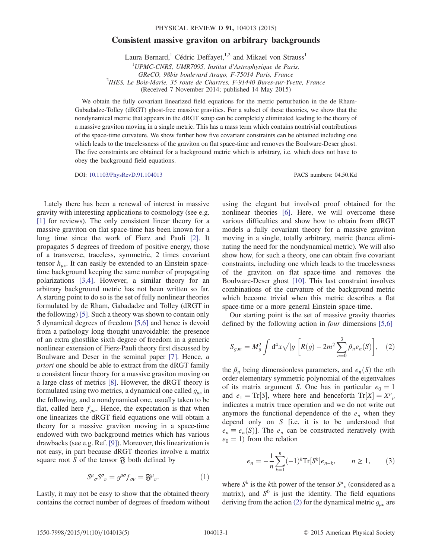## Consistent massive graviton on arbitrary backgrounds

Laura Bernard,<sup>1</sup> Cédric Deffayet,<sup>1,2</sup> and Mikael von Strauss<sup>1</sup>

 $1$ UPMC-CNRS, UMR7095, Institut d'Astrophysique de Paris, GReCO, 98bis boulevard Arago, F-75014 Paris, France<br><sup>2</sup>IHES, Le Bois-Marie, 35 route de Chartres, F-91440 Bures-sur-Yvette, France (Received 7 November 2014; published 14 May 2015)

We obtain the fully covariant linearized field equations for the metric perturbation in the de Rham-Gabadadze-Tolley (dRGT) ghost-free massive gravities. For a subset of these theories, we show that the nondynamical metric that appears in the dRGT setup can be completely eliminated leading to the theory of a massive graviton moving in a single metric. This has a mass term which contains nontrivial contributions of the space-time curvature. We show further how five covariant constraints can be obtained including one which leads to the tracelessness of the graviton on flat space-time and removes the Boulware-Deser ghost. The five constraints are obtained for a background metric which is arbitrary, i.e. which does not have to obey the background field equations.

DOI: [10.1103/PhysRevD.91.104013](http://dx.doi.org/10.1103/PhysRevD.91.104013) PACS numbers: 04.50.Kd

Lately there has been a renewal of interest in massive gravity with interesting applications to cosmology (see e.g. [\[1\]](#page-4-0) for reviews). The only consistent linear theory for a massive graviton on flat space-time has been known for a long time since the work of Fierz and Pauli [\[2\].](#page-4-1) It propagates 5 degrees of freedom of positive energy, those of a transverse, traceless, symmetric, 2 times covariant tensor  $h_{\mu\nu}$ . It can easily be extended to an Einstein spacetime background keeping the same number of propagating polarizations [\[3,4\]](#page-4-2). However, a similar theory for an arbitrary background metric has not been written so far. A starting point to do so is the set of fully nonlinear theories formulated by de Rham, Gabadadze and Tolley (dRGT in the following) [\[5\].](#page-4-3) Such a theory was shown to contain only 5 dynamical degrees of freedom [\[5,6\]](#page-4-3) and hence is devoid from a pathology long thought unavoidable: the presence of an extra ghostlike sixth degree of freedom in a generic nonlinear extension of Fierz-Pauli theory first discussed by Boulware and Deser in the seminal paper [\[7\]](#page-4-4). Hence, a priori one should be able to extract from the dRGT family a consistent linear theory for a massive graviton moving on a large class of metrics [\[8\]](#page-4-5). However, the dRGT theory is formulated using two metrics, a dynamical one called  $g_{\mu\nu}$  in the following, and a nondynamical one, usually taken to be flat, called here  $f_{\mu\nu}$ . Hence, the expectation is that when one linearizes the dRGT field equations one will obtain a theory for a massive graviton moving in a space-time endowed with two background metrics which has various drawbacks (see e.g. Ref. [\[9\]](#page-4-6)). Moreover, this linearization is not easy, in part because dRGT theories involve a matrix square root S of the tensor  $\mathfrak F$  both defined by

$$
S^{\mu}{}_{\sigma}S^{\sigma}{}_{\nu}=g^{\mu\sigma}f_{\sigma\nu}=\mathfrak{F}^{\mu}{}_{\nu}.
$$
 (1)

<span id="page-0-1"></span>Lastly, it may not be easy to show that the obtained theory contains the correct number of degrees of freedom without using the elegant but involved proof obtained for the nonlinear theories [\[6\]](#page-4-7). Here, we will overcome these various difficulties and show how to obtain from dRGT models a fully covariant theory for a massive graviton moving in a single, totally arbitrary, metric (hence eliminating the need for the nondynamical metric). We will also show how, for such a theory, one can obtain five covariant constraints, including one which leads to the tracelessness of the graviton on flat space-time and removes the Boulware-Deser ghost [\[10\]](#page-4-8). This last constraint involves combinations of the curvature of the background metric which become trivial when this metric describes a flat space-time or a more general Einstein space-time.

<span id="page-0-0"></span>Our starting point is the set of massive gravity theories defined by the following action in four dimensions [\[5,6\]](#page-4-3)

$$
S_{g,m} = M_g^2 \int d^4x \sqrt{|g|} \left[ R(g) - 2m^2 \sum_{n=0}^3 \beta_n e_n(S) \right], \quad (2)
$$

the  $\beta_n$  being dimensionless parameters, and  $e_n(S)$  the *n*th order elementary symmetric polynomial of the eigenvalues of its matrix argument S. One has in particular  $e_0 = 1$ and  $e_1 = \text{Tr}[S]$ , where here and henceforth  $\text{Tr}[X] = X^{\rho}{}_{\rho}$ <br>indicates a matrix trace operation and we do not write out indicates a matrix trace operation and we do not write out anymore the functional dependence of the  $e_n$  when they depend only on S [i.e. it is to be understood that  $e_n \equiv e_n(S)$ ]. The  $e_n$  can be constructed iteratively (with  $e_0 = 1$ ) from the relation

$$
e_n = -\frac{1}{n} \sum_{k=1}^n (-1)^k \text{Tr}[S^k] e_{n-k}, \qquad n \ge 1, \qquad (3)
$$

<span id="page-0-2"></span>where  $S^k$  is the kth power of the tensor  $S^{\mu}{}_{\nu}$  (considered as a matrix) and  $S^0$  is just the identity. The field equations matrix), and  $S^0$  is just the identity. The field equations deriving from the action [\(2\)](#page-0-0) for the dynamical metric  $g_{\mu\nu}$  are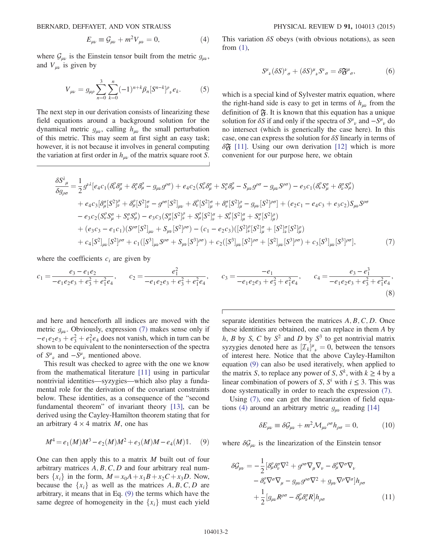BERNARD, DEFFAYET, AND VON STRAUSS PHYSICAL REVIEW D 91, 104013 (2015)

$$
E_{\mu\nu} \equiv \mathcal{G}_{\mu\nu} + m^2 V_{\mu\nu} = 0, \tag{4}
$$

where  $\mathcal{G}_{\mu\nu}$  is the Einstein tensor built from the metric  $g_{\mu\nu}$ , and  $V_{\mu\nu}$  is given by

$$
V_{\mu\nu} = g_{\mu\rho} \sum_{n=0}^{3} \sum_{k=0}^{n} (-1)^{n+k} \beta_n [S^{n-k}]^{\rho}{}_{\nu} e_k.
$$
 (5)

The next step in our derivation consists of linearizing these field equations around a background solution for the dynamical metric  $g_{\mu\nu}$ , calling  $h_{\mu\nu}$  the small perturbation of this metric. This may seem at first sight an easy task; however, it is not because it involves in general computing the variation at first order in  $h_{\mu\nu}$  of the matrix square root S. This variation  $\delta S$  obeys (with obvious notations), as seen from  $(1)$ ,

$$
S^{\mu}{}_{\nu}(\delta S)^{\nu}{}_{\sigma} + (\delta S)^{\mu}{}_{\nu}S^{\nu}{}_{\sigma} = \delta \mathfrak{F}^{\mu}{}_{\sigma},\tag{6}
$$

which is a special kind of Sylvester matrix equation, where the right-hand side is easy to get in terms of  $h_{\mu\nu}$  from the definition of  $\mathfrak{F}$ . It is known that this equation has a unique solution for  $\delta S$  if and only if the spectra of  $S^{\mu}{}_{\nu}$  and  $-S^{\mu}{}_{\nu}$  do no intersect (which is generically the case here). In this no intersect (which is generically the case here). In this case, one can express the solution for  $\delta S$  linearly in terms of  $\delta \mathfrak{F}$  [\[11\].](#page-4-9) Using our own derivation [\[12\]](#page-4-10) which is more convenient for our purpose here, we obtain

<span id="page-1-0"></span>
$$
\frac{\delta S_{\mu}^{2}}{\delta g_{\rho\sigma}} = \frac{1}{2} g^{\nu\lambda} [e_{4}c_{1} (\delta_{\nu}^{\rho} \delta_{\mu}^{\sigma} + \delta_{\nu}^{\sigma} \delta_{\mu}^{\rho} - g_{\mu\nu} g^{\rho\sigma}) + e_{4}c_{2} (S_{\nu}^{\rho} \delta_{\mu}^{\sigma} + S_{\nu}^{\sigma} \delta_{\mu}^{\rho} - S_{\mu\nu} g^{\rho\sigma} - g_{\mu\nu} S^{\rho\sigma}) - e_{3}c_{1} (\delta_{\nu}^{\rho} S_{\mu}^{\sigma} + \delta_{\nu}^{\sigma} S_{\mu}^{\rho}) \n+ e_{4}c_{3} [\delta_{\mu}^{\sigma} [S^{2}]_{\nu}^{\rho} + \delta_{\mu}^{\rho} [S^{2}]_{\nu}^{\sigma} - g^{\rho\sigma} [S^{2}]_{\mu\nu} + \delta_{\nu}^{\rho} [S^{2}]_{\mu}^{\sigma} + \delta_{\nu}^{\sigma} [S^{2}]_{\mu}^{\rho} - g_{\mu\nu} [S^{2}]^{\rho\sigma}] + (e_{2}c_{1} - e_{4}c_{3} + e_{3}c_{2}) S_{\mu\nu} S^{\rho\sigma} \n- e_{3}c_{2} (S_{\nu}^{\rho} S_{\mu}^{\sigma} + S_{\nu}^{\sigma} S_{\mu}^{\rho}) - e_{3}c_{3} (S_{\mu}^{\sigma} [S^{2}]_{\nu}^{\rho} + S_{\mu}^{\rho} [S^{2}]_{\rho}^{\sigma} + S_{\nu}^{\rho} [S^{2}]_{\mu}^{\sigma} + S_{\nu}^{\sigma} [S^{2}]_{\mu}^{\rho}) \n+ (e_{3}c_{3} - e_{1}c_{1}) (S^{\rho\sigma} [S^{2}]_{\mu\nu} + S_{\mu\nu} [S^{2}]^{\rho\sigma}) - (c_{1} - e_{2}c_{3}) ([S^{2}]_{\nu}^{\rho} [S^{2}]_{\mu}^{\sigma} + [S^{2}]_{\nu} [S^{2}]_{\mu}^{\rho}) \n+ c_{4} [S^{2}]_{\mu\nu} [S^{2}]^{\rho\sigma} + c_{1} ([S^{3}]_{\mu\nu} S^{\rho\sigma} + S_{\mu\nu} [S^{3}]
$$

where the coefficients  $c_i$  are given by

$$
c_1 = \frac{e_3 - e_1 e_2}{-e_1 e_2 e_3 + e_3^2 + e_1^2 e_4}, \qquad c_2 = \frac{e_1^2}{-e_1 e_2 e_3 + e_3^2 + e_1^2 e_4}, \qquad c_3 = \frac{-e_1}{-e_1 e_2 e_3 + e_3^2 + e_1^2 e_4}, \qquad c_4 = \frac{e_3 - e_1^3}{-e_1 e_2 e_3 + e_3^2 + e_1^2 e_4},
$$
\n(8)

and here and henceforth all indices are moved with the metric  $g_{\mu\nu}$ . Obviously, expression [\(7\)](#page-1-0) makes sense only if  $-e_1e_2e_3 + e_3^2 + e_1^2e_4$  does not vanish, which in turn can be shown to be equivalent to the nonintersection of the spectra shown to be equivalent to the nonintersection of the spectra of  $S^{\mu}_{\ \nu}$  and  $-S^{\mu}_{\ \nu}$  mentioned above.<br>This result was checked to agree

This result was checked to agree with the one we know from the mathematical literature [\[11\]](#page-4-9) using in particular nontrivial identities—syzygies—which also play a fundamental role for the derivation of the covariant constraints below. These identities, as a consequence of the "second fundamental theorem" of invariant theory [\[13\],](#page-4-11) can be derived using the Cayley-Hamilton theorem stating that for an arbitrary  $4 \times 4$  matrix *M*, one has

<span id="page-1-1"></span>
$$
M^4 = e_1(M)M^3 - e_2(M)M^2 + e_3(M)M - e_4(M)\mathbb{1}.
$$
 (9)

One can then apply this to a matrix M built out of four arbitrary matrices  $A, B, C, D$  and four arbitrary real numbers  $\{x_i\}$  in the form,  $M = x_0A + x_1B + x_2C + x_3D$ . Now, because the  $\{x_i\}$  as well as the matrices  $A, B, C, D$  are arbitrary, it means that in Eq. [\(9\)](#page-1-1) the terms which have the same degree of homogeneity in the  ${x_i}$  must each yield separate identities between the matrices  $A, B, C, D$ . Once these identities are obtained, one can replace in them A by h, B by S, C by  $S^2$  and D by  $S^3$  to get nontrivial matrix syzygies denoted here as  $[\mathcal{I}_k]$ <br>of interest here. Notice that  $J^{\mu}{}_{\nu} = 0$ , between the tensors<br>the above Cayley-Hamilton of interest here. Notice that the above Cayley-Hamilton equation [\(9\)](#page-1-1) can also be used iteratively, when applied to the matrix S, to replace any power of S,  $S^k$ , with  $k \geq 4$  by a linear combination of powers of S,  $S^i$  with  $i \leq 3$ . This was done systematically in order to reach the expression [\(7\)](#page-1-0).

<span id="page-1-2"></span>Using [\(7\),](#page-1-0) one can get the linearization of field equa-tions [\(4\)](#page-0-2) around an arbitrary metric  $g_{\mu\nu}$  reading [\[14\]](#page-4-12)

$$
\delta E_{\mu\nu} \equiv \delta \mathcal{G}_{\mu\nu} + m^2 \mathcal{M}_{\mu\nu}{}^{\rho\sigma} h_{\rho\sigma} = 0, \tag{10}
$$

where  $\delta \mathcal{G}_{\mu\nu}$  is the linearization of the Einstein tensor

$$
\delta \mathcal{G}_{\mu\nu} = -\frac{1}{2} \left[ \delta^{\rho}_{\mu} \delta^{\sigma}_{\nu} \nabla^{2} + g^{\rho \sigma} \nabla_{\mu} \nabla_{\nu} - \delta^{\rho}_{\mu} \nabla^{\sigma} \nabla_{\nu} \right. \\ \left. - \delta^{\rho}_{\nu} \nabla^{\sigma} \nabla_{\mu} - g_{\mu\nu} g^{\rho \sigma} \nabla^{2} + g_{\mu\nu} \nabla^{\rho} \nabla^{\sigma} \right] h_{\rho \sigma} \\ \left. + \frac{1}{2} \left[ g_{\mu\nu} R^{\rho \sigma} - \delta^{\rho}_{\mu} \delta^{\sigma}_{\nu} R \right] h_{\rho \sigma} \right. \tag{11}
$$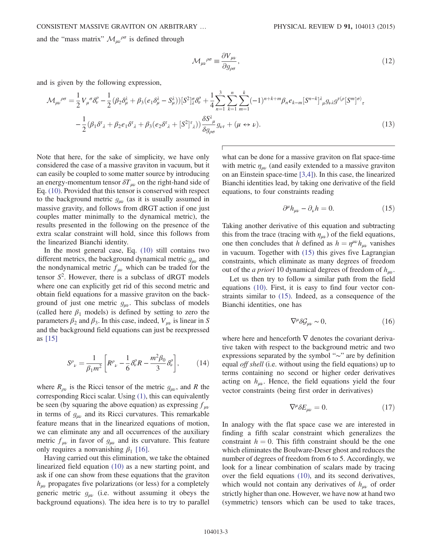and the "mass matrix"  $\mathcal{M}_{\mu\nu}^{\rho\sigma}$  is defined through

$$
\mathcal{M}_{\mu\nu}{}^{\rho\sigma} \equiv \frac{\partial V_{\mu\nu}}{\partial g_{\rho\sigma}},\tag{12}
$$

and is given by the following expression,

$$
\mathcal{M}_{\mu\nu}{}^{\rho\sigma} = \frac{1}{2} V_{\mu}{}^{\sigma} \delta_{\nu}^{\rho} - \frac{1}{2} (\beta_2 \delta_{\mu}^{\lambda} + \beta_3 (e_1 \delta_{\mu}^{\lambda} - S_{\mu}^{\lambda})) [S^2]_{\lambda}^{\sigma} \delta_{\nu}^{\rho} + \frac{1}{4} \sum_{n=1}^{3} \sum_{k=1}^{n} \sum_{m=1}^{k} (-1)^{n+k+m} \beta_n e_{k-m} [S^{n-k}]_{\mu}^{\lambda} g_{\nu\lambda} g^{\tau(\rho} [S^m]^{\sigma)}_{\tau} - \frac{1}{2} (\beta_1 \delta^{\tau}{}_{\lambda} + \beta_2 e_1 \delta^{\tau}{}_{\lambda} + \beta_3 (e_2 \delta^{\tau}{}_{\lambda} + [S^2]_{\tau}^{\tau}) ) \frac{\delta S^{\lambda}{}_{\mu}}{\delta g_{\rho\sigma}} g_{\nu\tau} + (\mu \leftrightarrow \nu).
$$
\n(13)

Note that here, for the sake of simplicity, we have only considered the case of a massive graviton in vacuum, but it can easily be coupled to some matter source by introducing an energy-momentum tensor  $\delta T_{\mu\nu}$  on the right-hand side of Eq. [\(10\).](#page-1-2) Provided that this tensor is conserved with respect to the background metric  $g_{\mu\nu}$  (as it is usually assumed in massive gravity, and follows from dRGT action if one just couples matter minimally to the dynamical metric), the results presented in the following on the presence of the extra scalar constraint will hold, since this follows from the linearized Bianchi identity.

In the most general case, Eq. [\(10\)](#page-1-2) still contains two different metrics, the background dynamical metric  $g_{\mu\nu}$  and the nondynamical metric  $f_{\mu\nu}$  which can be traded for the tensor  $S^2$ . However, there is a subclass of dRGT models<br>where one can explicitly get rid of this second metric and where one can explicitly get rid of this second metric and obtain field equations for a massive graviton on the background of just one metric  $g_{\mu\nu}$ . This subclass of models (called here  $\beta_1$  models) is defined by setting to zero the parameters  $\beta_2$  and  $\beta_3$ . In this case, indeed,  $V_{\mu\nu}$  is linear in S and the background field equations can just be reexpressed as [\[15\]](#page-4-13)

<span id="page-2-1"></span>
$$
S^{\rho}{}_{\nu} = \frac{1}{\beta_1 m^2} \left[ R^{\rho}{}_{\nu} - \frac{1}{6} \delta^{\rho}_{\nu} R - \frac{m^2 \beta_0}{3} \delta^{\rho}_{\nu} \right],\tag{14}
$$

where  $R_{\rho\nu}$  is the Ricci tensor of the metric  $g_{\mu\nu}$ , and R the corresponding Ricci scalar. Using [\(1\),](#page-0-1) this can equivalently be seen (by squaring the above equation) as expressing  $f_{\mu\nu}$ in terms of  $g_{\mu\nu}$  and its Ricci curvatures. This remarkable feature means that in the linearized equations of motion, we can eliminate any and all occurrences of the auxiliary metric  $f_{\mu\nu}$  in favor of  $g_{\mu\nu}$  and its curvature. This feature only requires a nonvanishing  $\beta_1$  [\[16\]](#page-4-14).

Having carried out this elimination, we take the obtained linearized field equation [\(10\)](#page-1-2) as a new starting point, and ask if one can show from these equations that the graviton  $h_{\mu\nu}$  propagates five polarizations (or less) for a completely generic metric  $g_{\mu\nu}$  (i.e. without assuming it obeys the background equations). The idea here is to try to parallel <span id="page-2-0"></span>what can be done for a massive graviton on flat space-time with metric  $\eta_{\mu\nu}$  (and easily extended to a massive graviton on an Einstein space-time [\[3,4\]](#page-4-2)). In this case, the linearized Bianchi identities lead, by taking one derivative of the field equations, to four constraints reading

$$
\partial^{\mu}h_{\mu\nu} - \partial_{\nu}h = 0. \tag{15}
$$

Taking another derivative of this equation and subtracting this from the trace (tracing with  $\eta_{\mu\nu}$ ) of the field equations, one then concludes that h defined as  $h = \eta^{\mu\nu}h_{\mu\nu}$  vanishes in vacuum. Together with [\(15\)](#page-2-0) this gives five Lagrangian constraints, which eliminate as many degrees of freedom out of the *a priori* 10 dynamical degrees of freedom of  $h_{\mu\nu}$ .

Let us then try to follow a similar path from the field equations [\(10\).](#page-1-2) First, it is easy to find four vector constraints similar to [\(15\)](#page-2-0). Indeed, as a consequence of the Bianchi identities, one has

$$
\nabla^{\mu} \delta \mathcal{G}_{\mu\nu} \sim 0, \tag{16}
$$

where here and henceforth  $\nabla$  denotes the covariant derivative taken with respect to the background metric and two expressions separated by the symbol "∼" are by definition equal *off shell* (i.e. without using the field equations) up to terms containing no second or higher order derivatives acting on  $h_{\mu\nu}$ . Hence, the field equations yield the four vector constraints (being first order in derivatives)

$$
\nabla^{\mu} \delta E_{\mu\nu} = 0. \tag{17}
$$

<span id="page-2-2"></span>In analogy with the flat space case we are interested in finding a fifth scalar constraint which generalizes the constraint  $h = 0$ . This fifth constraint should be the one which eliminates the Boulware-Deser ghost and reduces the number of degrees of freedom from 6 to 5. Accordingly, we look for a linear combination of scalars made by tracing over the field equations [\(10\)](#page-1-2), and its second derivatives, which would not contain any derivatives of  $h_{\mu\nu}$  of order strictly higher than one. However, we have now at hand two (symmetric) tensors which can be used to take traces,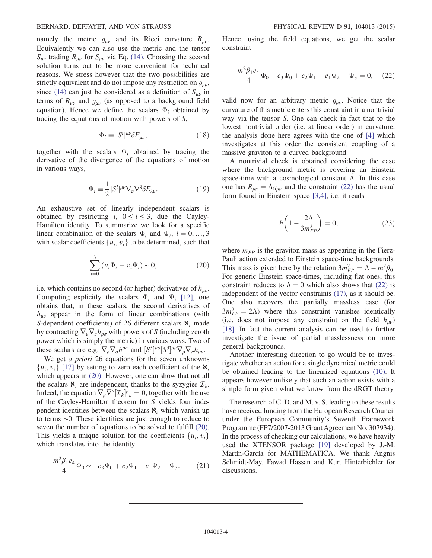## BERNARD, DEFFAYET, AND VON STRAUSS PHYSICAL REVIEW D 91, 104013 (2015)

namely the metric  $g_{\mu\nu}$  and its Ricci curvature  $R_{\mu\nu}$ . Equivalently we can also use the metric and the tensor  $S_{\mu\nu}$  trading  $R_{\mu\nu}$  for  $S_{\mu\nu}$  via Eq. [\(14\).](#page-2-1) Choosing the second solution turns out to be more convenient for technical reasons. We stress however that the two possibilities are strictly equivalent and do not impose any restriction on  $g_{\mu\nu}$ , since [\(14\)](#page-2-1) can just be considered as a definition of  $S_{\mu\nu}$  in terms of  $R_{\mu\nu}$  and  $g_{\mu\nu}$  (as opposed to a background field equation). Hence we define the scalars  $\Phi_i$  obtained by tracing the equations of motion with powers of S,

$$
\Phi_i \equiv [S^i]^{\mu\nu} \delta E_{\mu\nu},\tag{18}
$$

together with the scalars  $\Psi_i$  obtained by tracing the derivative of the divergence of the equations of motion in various ways,

$$
\Psi_i \equiv \frac{1}{2} [S^i]^{\mu\nu} \nabla_{\nu} \nabla^{\lambda} \delta E_{\lambda\mu}.
$$
\n(19)

<span id="page-3-0"></span>An exhaustive set of linearly independent scalars is obtained by restricting i,  $0 \le i \le 3$ , due the Cayley-Hamilton identity. To summarize we look for a specific linear combination of the scalars  $\Phi_i$  and  $\Psi_i$ ,  $i = 0, ..., 3$ with scalar coefficients  $\{u_i, v_i\}$  to be determined, such that

$$
\sum_{i=0}^{3} (u_i \Phi_i + v_i \Psi_i) \sim 0,
$$
\n(20)

i.e. which contains no second (or higher) derivatives of  $h_{\mu\nu}$ . Computing explicitly the scalars  $\Phi_i$  and  $\Psi_i$  [\[12\]](#page-4-10), one obtains that, in these scalars, the second derivatives of  $h_{\mu\nu}$  appear in the form of linear combinations (with S-dependent coefficients) of 26 different scalars  $\aleph_i$  made by contracting  $\nabla_{\mu} \nabla_{\nu} h_{\rho \sigma}$  with powers of S (including zeroth power which is simply the metric) in various ways. Two of these scalars are e.g.  $\nabla_{\rho} \nabla_{\sigma} h^{\rho \sigma}$  and  $[S^3]$ <br>We get a priori 26 equations for the  $\int_{0}^{\rho\sigma} [S^3]$  $\mu\nu\nabla_{\rho}\nabla_{\sigma}h_{\mu\nu}$ .

We get *a priori* 26 equations for the seven unknowns  $\{u_i, v_i\}$  [\[17\]](#page-4-15) by setting to zero each coefficient of the  $\aleph_i$ which appears in  $(20)$ . However, one can show that not all the scalars  $\aleph_i$  are independent, thanks to the syzygies  $\mathcal{I}_k$ . Indeed, the equation  $\nabla_{\mu} \nabla^{\nu} [\mathcal{I}_k]$ <br>of the Cayley-Hamilton theory  $\int_{-\infty}^{\mu} u = 0$ , together with the use of the Cayley-Hamilton theorem for S yields four independent identities between the scalars  $\aleph_i$  which vanish up to terms ∼0. These identities are just enough to reduce to seven the number of equations to be solved to fulfill [\(20\)](#page-3-0). This yields a unique solution for the coefficients  $\{u_i, v_i\}$ which translates into the identity

$$
\frac{m^2 \beta_1 e_4}{4} \Phi_0 \sim -e_3 \Psi_0 + e_2 \Psi_1 - e_1 \Psi_2 + \Psi_3. \tag{21}
$$

<span id="page-3-1"></span>Hence, using the field equations, we get the scalar constraint

$$
-\frac{m^2\beta_1e_4}{4}\Phi_0 - e_3\Psi_0 + e_2\Psi_1 - e_1\Psi_2 + \Psi_3 = 0, \quad (22)
$$

valid now for an arbitrary metric  $g_{\mu\nu}$ . Notice that the curvature of this metric enters this constraint in a nontrivial way via the tensor S. One can check in fact that to the lowest nontrivial order (i.e. at linear order) in curvature, the analysis done here agrees with the one of [\[4\]](#page-4-16) which investigates at this order the consistent coupling of a massive graviton to a curved background.

A nontrivial check is obtained considering the case where the background metric is covering an Einstein space-time with a cosmological constant  $\Lambda$ . In this case one has  $R_{\mu\nu} = \Lambda g_{\mu\nu}$  and the constraint [\(22\)](#page-3-1) has the usual form found in Einstein space [\[3,4\],](#page-4-2) i.e. it reads

$$
h\left(1 - \frac{2\Lambda}{3m_{FP}^2}\right) = 0,\t\t(23)
$$

where  $m_{FP}$  is the graviton mass as appearing in the Fierz-Pauli action extended to Einstein space-time backgrounds. This mass is given here by the relation  $3m_{FP}^2 = \Lambda - m^2\beta_0$ .<br>For generic Einstein space-times, including flat ones, this For generic Einstein space-times, including flat ones, this constraint reduces to  $h = 0$  which also shows that [\(22\)](#page-3-1) is independent of the vector constraints [\(17\)](#page-2-2), as it should be. One also recovers the partially massless case (for  $3m_{FP}^2 = 2\Lambda$ ) where this constraint vanishes identically<br>(i.e. does not impose any constraint on the field h.) (i.e. does not impose any constraint on the field  $h_{\mu\nu}$ ) [\[18\]](#page-4-17). In fact the current analysis can be used to further investigate the issue of partial masslessness on more general backgrounds.

Another interesting direction to go would be to investigate whether an action for a single dynamical metric could be obtained leading to the linearized equations [\(10\)](#page-1-2). It appears however unlikely that such an action exists with a simple form given what we know from the dRGT theory.

The research of C. D. and M. v. S. leading to these results have received funding from the European Research Council under the European Community's Seventh Framework Programme (FP7/2007-2013 Grant Agreement No. 307934). In the process of checking our calculations, we have heavily used the XTENSOR package [\[19\]](#page-4-18) developed by J.-M. Martín-García for MATHEMATICA. We thank Angnis Schmidt-May, Fawad Hassan and Kurt Hinterbichler for discussions.